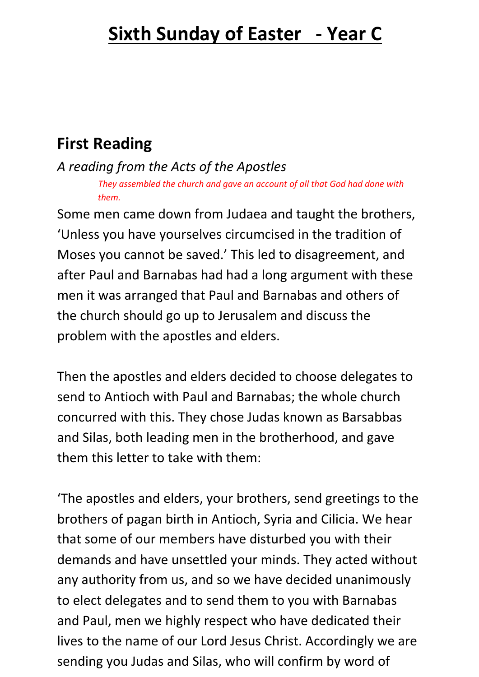# **First Reading**

*A reading from the Acts of the Apostles*

*They assembled the church and gave an account of all that God had done with them.* 

Some men came down from Judaea and taught the brothers, 'Unless you have yourselves circumcised in the tradition of Moses you cannot be saved.' This led to disagreement, and after Paul and Barnabas had had a long argument with these men it was arranged that Paul and Barnabas and others of the church should go up to Jerusalem and discuss the problem with the apostles and elders.

Then the apostles and elders decided to choose delegates to send to Antioch with Paul and Barnabas; the whole church concurred with this. They chose Judas known as Barsabbas and Silas, both leading men in the brotherhood, and gave them this letter to take with them:

'The apostles and elders, your brothers, send greetings to the brothers of pagan birth in Antioch, Syria and Cilicia. We hear that some of our members have disturbed you with their demands and have unsettled your minds. They acted without any authority from us, and so we have decided unanimously to elect delegates and to send them to you with Barnabas and Paul, men we highly respect who have dedicated their lives to the name of our Lord Jesus Christ. Accordingly we are sending you Judas and Silas, who will confirm by word of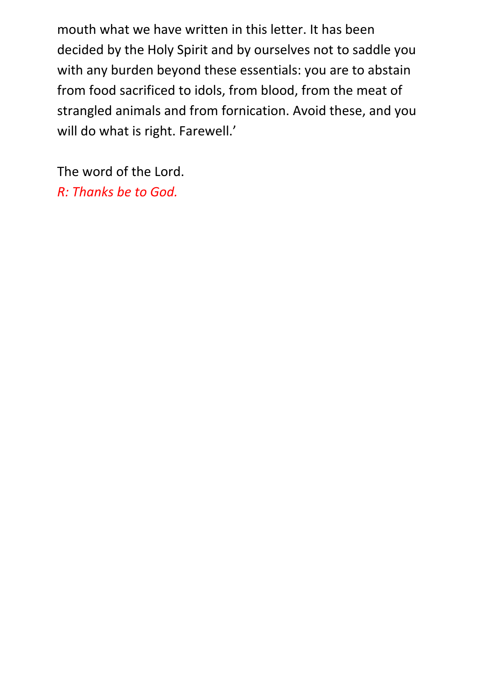mouth what we have written in this letter. It has been decided by the Holy Spirit and by ourselves not to saddle you with any burden beyond these essentials: you are to abstain from food sacrificed to idols, from blood, from the meat of strangled animals and from fornication. Avoid these, and you will do what is right. Farewell.'

The word of the Lord. *R: Thanks be to God.*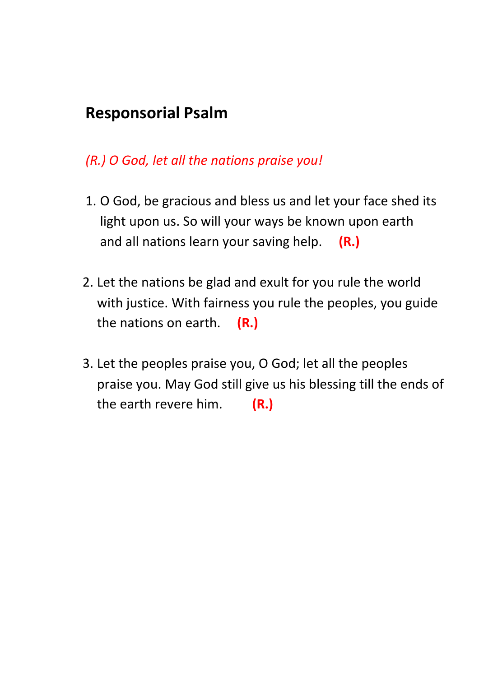## **Responsorial Psalm**

#### *(R.) O God, let all the nations praise you!*

- 1. O God, be gracious and bless us and let your face shed its light upon us. So will your ways be known upon earth and all nations learn your saving help. **(R.)**
- 2. Let the nations be glad and exult for you rule the world with justice. With fairness you rule the peoples, you guide the nations on earth. **(R.)**
- 3. Let the peoples praise you, O God; let all the peoples praise you. May God still give us his blessing till the ends of the earth revere him. **(R.)**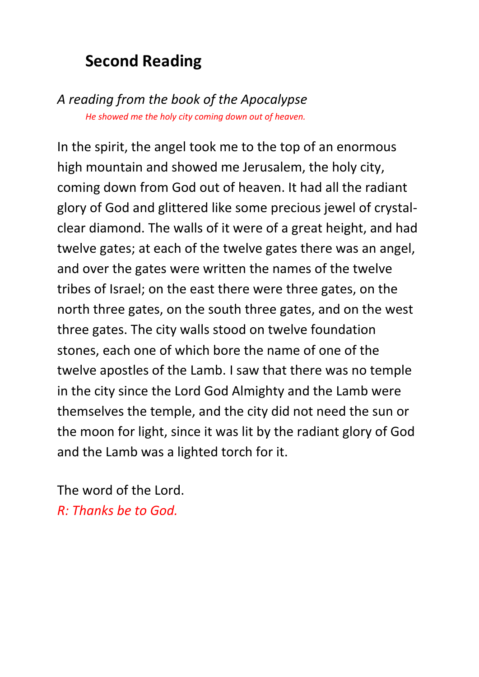## **Second Reading**

*A reading from the book of the Apocalypse He showed me the holy city coming down out of heaven.*

In the spirit, the angel took me to the top of an enormous high mountain and showed me Jerusalem, the holy city, coming down from God out of heaven. It had all the radiant glory of God and glittered like some precious jewel of crystalclear diamond. The walls of it were of a great height, and had twelve gates; at each of the twelve gates there was an angel, and over the gates were written the names of the twelve tribes of Israel; on the east there were three gates, on the north three gates, on the south three gates, and on the west three gates. The city walls stood on twelve foundation stones, each one of which bore the name of one of the twelve apostles of the Lamb. I saw that there was no temple in the city since the Lord God Almighty and the Lamb were themselves the temple, and the city did not need the sun or the moon for light, since it was lit by the radiant glory of God and the Lamb was a lighted torch for it.

The word of the Lord. *R: Thanks be to God.*